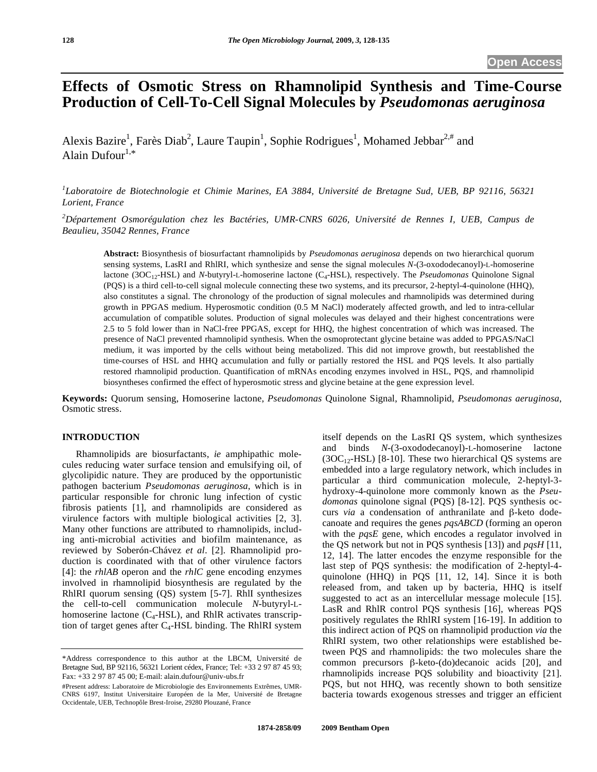# **Effects of Osmotic Stress on Rhamnolipid Synthesis and Time-Course Production of Cell-To-Cell Signal Molecules by** *Pseudomonas aeruginosa*

Alexis Bazire<sup>1</sup>, Farès Diab<sup>2</sup>, Laure Taupin<sup>1</sup>, Sophie Rodrigues<sup>1</sup>, Mohamed Jebbar<sup>2,#</sup> and Alain Dufour $1,*$ 

*1 Laboratoire de Biotechnologie et Chimie Marines, EA 3884, Université de Bretagne Sud, UEB, BP 92116, 56321 Lorient, France* 

*2 Département Osmorégulation chez les Bactéries, UMR-CNRS 6026, Université de Rennes I, UEB, Campus de Beaulieu, 35042 Rennes, France* 

**Abstract:** Biosynthesis of biosurfactant rhamnolipids by *Pseudomonas aeruginosa* depends on two hierarchical quorum sensing systems, LasRI and RhlRI, which synthesize and sense the signal molecules *N*-(3-oxododecanoyl)-L-homoserine lactone (3OC<sub>12</sub>-HSL) and *N*-butyryl-L-homoserine lactone (C<sub>4</sub>-HSL), respectively. The *Pseudomonas* Quinolone Signal (PQS) is a third cell-to-cell signal molecule connecting these two systems, and its precursor, 2-heptyl-4-quinolone (HHQ), also constitutes a signal. The chronology of the production of signal molecules and rhamnolipids was determined during growth in PPGAS medium. Hyperosmotic condition (0.5 M NaCl) moderately affected growth, and led to intra-cellular accumulation of compatible solutes. Production of signal molecules was delayed and their highest concentrations were 2.5 to 5 fold lower than in NaCl-free PPGAS, except for HHQ, the highest concentration of which was increased. The presence of NaCl prevented rhamnolipid synthesis. When the osmoprotectant glycine betaine was added to PPGAS/NaCl medium, it was imported by the cells without being metabolized. This did not improve growth, but reestablished the time-courses of HSL and HHQ accumulation and fully or partially restored the HSL and PQS levels. It also partially restored rhamnolipid production. Quantification of mRNAs encoding enzymes involved in HSL, PQS, and rhamnolipid biosyntheses confirmed the effect of hyperosmotic stress and glycine betaine at the gene expression level.

**Keywords:** Quorum sensing, Homoserine lactone, *Pseudomonas* Quinolone Signal, Rhamnolipid, *Pseudomonas aeruginosa*, Osmotic stress.

# **INTRODUCTION**

 Rhamnolipids are biosurfactants, *ie* amphipathic molecules reducing water surface tension and emulsifying oil, of glycolipidic nature. They are produced by the opportunistic pathogen bacterium *Pseudomonas aeruginosa*, which is in particular responsible for chronic lung infection of cystic fibrosis patients [1], and rhamnolipids are considered as virulence factors with multiple biological activities [2, 3]. Many other functions are attributed to rhamnolipids, including anti-microbial activities and biofilm maintenance, as reviewed by Soberón-Chávez *et al*. [2]. Rhamnolipid production is coordinated with that of other virulence factors [4]: the *rhlAB* operon and the *rhlC* gene encoding enzymes involved in rhamnolipid biosynthesis are regulated by the RhlRI quorum sensing (QS) system [5-7]. RhlI synthesizes the cell-to-cell communication molecule *N*-butyryl-Lhomoserine lactone  $(C_4$ -HSL), and RhlR activates transcription of target genes after  $C_4$ -HSL binding. The RhlRI system

itself depends on the LasRI QS system, which synthesizes and binds *N*-(3-oxododecanoyl)-L-homoserine lactone  $(3OC_{12}$ -HSL) [8-10]. These two hierarchical QS systems are embedded into a large regulatory network, which includes in particular a third communication molecule, 2-heptyl-3 hydroxy-4-quinolone more commonly known as the *Pseudomonas* quinolone signal (PQS) [8-12]. PQS synthesis occurs *via* a condensation of anthranilate and  $\beta$ -keto dodecanoate and requires the genes *pqsABCD* (forming an operon with the *pqsE* gene, which encodes a regulator involved in the QS network but not in PQS synthesis [13]) and *pqsH* [11, 12, 14]. The latter encodes the enzyme responsible for the last step of PQS synthesis: the modification of 2-heptyl-4 quinolone (HHQ) in PQS [11, 12, 14]. Since it is both released from, and taken up by bacteria, HHQ is itself suggested to act as an intercellular message molecule [15]. LasR and RhlR control PQS synthesis [16], whereas PQS positively regulates the RhlRI system [16-19]. In addition to this indirect action of PQS on rhamnolipid production *via* the RhlRI system, two other relationships were established between PQS and rhamnolipids: the two molecules share the common precursors  $\beta$ -keto-(do)decanoic acids [20], and rhamnolipids increase PQS solubility and bioactivity [21]. PQS, but not HHQ, was recently shown to both sensitize bacteria towards exogenous stresses and trigger an efficient

<sup>\*</sup>Address correspondence to this author at the LBCM, Université de Bretagne Sud, BP 92116, 56321 Lorient cédex, France; Tel: +33 2 97 87 45 93; Fax: +33 2 97 87 45 00; E-mail: alain.dufour@univ-ubs.fr

<sup>#</sup>Present address: Laboratoire de Microbiologie des Environnements Extrêmes, UMR-CNRS 6197, Institut Universitaire Européen de la Mer, Université de Bretagne Occidentale, UEB, Technopôle Brest-Iroise, 29280 Plouzané, France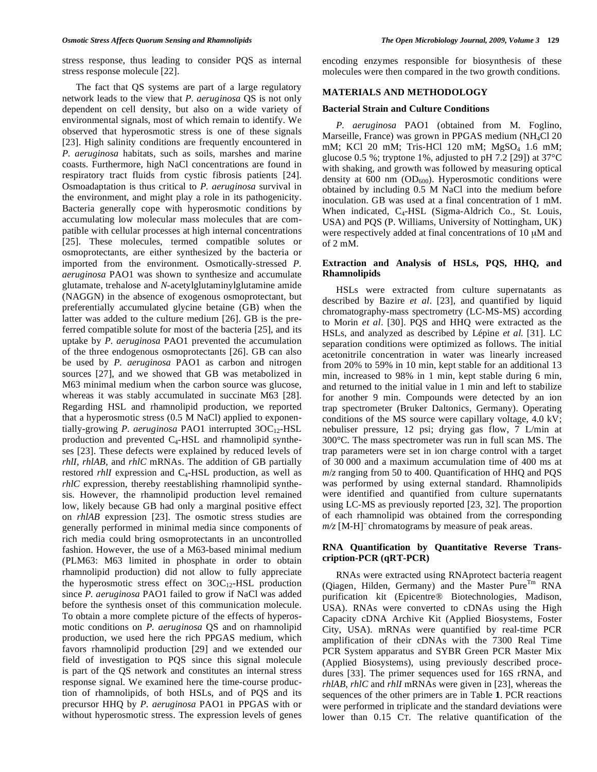stress response, thus leading to consider PQS as internal stress response molecule [22].

 The fact that QS systems are part of a large regulatory network leads to the view that *P. aeruginosa* QS is not only dependent on cell density, but also on a wide variety of environmental signals, most of which remain to identify. We observed that hyperosmotic stress is one of these signals [23]. High salinity conditions are frequently encountered in *P. aeruginosa* habitats, such as soils, marshes and marine coasts. Furthermore, high NaCl concentrations are found in respiratory tract fluids from cystic fibrosis patients [24]. Osmoadaptation is thus critical to *P. aeruginosa* survival in the environment, and might play a role in its pathogenicity. Bacteria generally cope with hyperosmotic conditions by accumulating low molecular mass molecules that are compatible with cellular processes at high internal concentrations [25]. These molecules, termed compatible solutes or osmoprotectants, are either synthesized by the bacteria or imported from the environment. Osmotically-stressed *P. aeruginosa* PAO1 was shown to synthesize and accumulate glutamate, trehalose and *N*-acetylglutaminylglutamine amide (NAGGN) in the absence of exogenous osmoprotectant, but preferentially accumulated glycine betaine (GB) when the latter was added to the culture medium [26]. GB is the preferred compatible solute for most of the bacteria [25], and its uptake by *P. aeruginosa* PAO1 prevented the accumulation of the three endogenous osmoprotectants [26]. GB can also be used by *P. aeruginosa* PAO1 as carbon and nitrogen sources [27], and we showed that GB was metabolized in M63 minimal medium when the carbon source was glucose, whereas it was stably accumulated in succinate M63 [28]. Regarding HSL and rhamnolipid production, we reported that a hyperosmotic stress (0.5 M NaCl) applied to exponentially-growing *P. aeruginosa* PAO1 interrupted 3OC<sub>12</sub>-HSL production and prevented C4-HSL and rhamnolipid syntheses [23]. These defects were explained by reduced levels of *rhlI*, *rhlAB*, and *rhlC* mRNAs. The addition of GB partially restored *rhlI* expression and C<sub>4</sub>-HSL production, as well as *rhlC* expression, thereby reestablishing rhamnolipid synthesis. However, the rhamnolipid production level remained low, likely because GB had only a marginal positive effect on *rhlAB* expression [23]. The osmotic stress studies are generally performed in minimal media since components of rich media could bring osmoprotectants in an uncontrolled fashion. However, the use of a M63-based minimal medium (PLM63: M63 limited in phosphate in order to obtain rhamnolipid production) did not allow to fully appreciate the hyperosmotic stress effect on  $3OC_{12}$ -HSL production since *P. aeruginosa* PAO1 failed to grow if NaCl was added before the synthesis onset of this communication molecule. To obtain a more complete picture of the effects of hyperosmotic conditions on *P. aeruginosa* QS and on rhamnolipid production, we used here the rich PPGAS medium, which favors rhamnolipid production [29] and we extended our field of investigation to PQS since this signal molecule is part of the QS network and constitutes an internal stress response signal. We examined here the time-course production of rhamnolipids, of both HSLs, and of PQS and its precursor HHQ by *P. aeruginosa* PAO1 in PPGAS with or without hyperosmotic stress. The expression levels of genes

encoding enzymes responsible for biosynthesis of these molecules were then compared in the two growth conditions.

#### **MATERIALS AND METHODOLOGY**

### **Bacterial Strain and Culture Conditions**

 *P. aeruginosa* PAO1 (obtained from M. Foglino, Marseille, France) was grown in PPGAS medium (NH<sub>4</sub>Cl 20 mM; KCl 20 mM; Tris-HCl 120 mM; MgSO<sub>4</sub> 1.6 mM; glucose 0.5 %; tryptone 1%, adjusted to pH 7.2 [29]) at 37°C with shaking, and growth was followed by measuring optical density at 600 nm ( $OD<sub>600</sub>$ ). Hyperosmotic conditions were obtained by including 0.5 M NaCl into the medium before inoculation. GB was used at a final concentration of 1 mM. When indicated,  $C_4$ -HSL (Sigma-Aldrich Co., St. Louis, USA) and PQS (P. Williams, University of Nottingham, UK) were respectively added at final concentrations of 10 μM and of 2 mM.

# **Extraction and Analysis of HSLs, PQS, HHQ, and Rhamnolipids**

 HSLs were extracted from culture supernatants as described by Bazire *et al*. [23], and quantified by liquid chromatography-mass spectrometry (LC-MS-MS) according to Morin *et al*. [30]. PQS and HHQ were extracted as the HSLs, and analyzed as described by Lépine *et al.* [31]. LC separation conditions were optimized as follows. The initial acetonitrile concentration in water was linearly increased from 20% to 59% in 10 min, kept stable for an additional 13 min, increased to 98% in 1 min, kept stable during 6 min, and returned to the initial value in 1 min and left to stabilize for another 9 min. Compounds were detected by an ion trap spectrometer (Bruker Daltonics, Germany). Operating conditions of the MS source were capillary voltage, 4.0 kV; nebuliser pressure, 12 psi; drying gas flow, 7 L/min at 300°C. The mass spectrometer was run in full scan MS. The trap parameters were set in ion charge control with a target of 30 000 and a maximum accumulation time of 400 ms at *m*/*z* ranging from 50 to 400. Quantification of HHQ and PQS was performed by using external standard. Rhamnolipids were identified and quantified from culture supernatants using LC-MS as previously reported [23, 32]. The proportion of each rhamnolipid was obtained from the corresponding  $m/z$  [M-H]<sup>-</sup> chromatograms by measure of peak areas.

# **RNA Quantification by Quantitative Reverse Transcription-PCR (qRT-PCR)**

 RNAs were extracted using RNAprotect bacteria reagent (Qiagen, Hilden, Germany) and the Master Pure $<sup>Tm</sup>$  RNA</sup> purification kit (Epicentre® Biotechnologies, Madison, USA). RNAs were converted to cDNAs using the High Capacity cDNA Archive Kit (Applied Biosystems, Foster City, USA). mRNAs were quantified by real-time PCR amplification of their cDNAs with the 7300 Real Time PCR System apparatus and SYBR Green PCR Master Mix (Applied Biosystems), using previously described procedures [33]. The primer sequences used for 16S rRNA, and *rhlAB*, *rhlC* and *rhlI* mRNAs were given in [23], whereas the sequences of the other primers are in Table **1**. PCR reactions were performed in triplicate and the standard deviations were lower than 0.15 CT. The relative quantification of the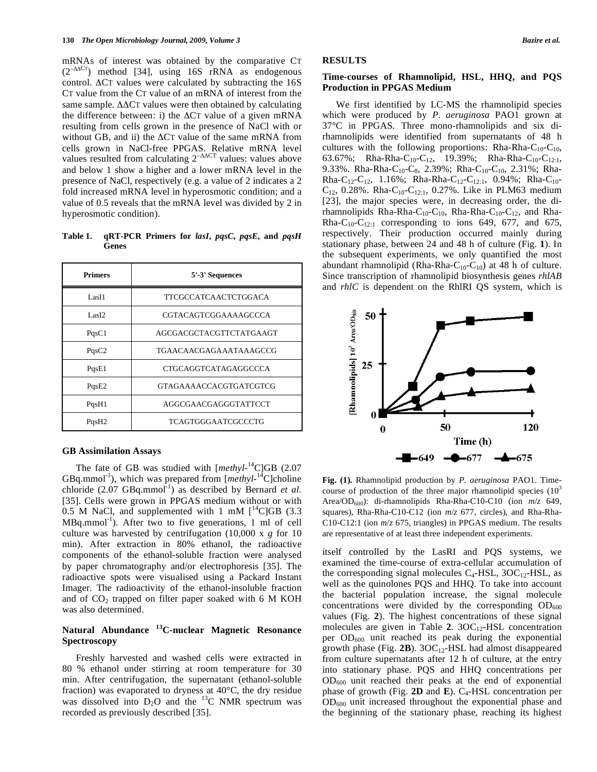mRNAs of interest was obtained by the comparative CT  $(2<sup>-\Delta\Delta CT</sup>)$  method [34], using 16S rRNA as endogenous control.  $\Delta$ CT values were calculated by subtracting the 16S CT value from the CT value of an mRNA of interest from the same sample.  $\Delta\Delta CT$  values were then obtained by calculating the difference between: i) the  $\Delta$ CT value of a given mRNA resulting from cells grown in the presence of NaCl with or without GB, and ii) the  $\Delta$ CT value of the same mRNA from cells grown in NaCl-free PPGAS. Relative mRNA level values resulted from calculating  $2^{-\Delta\Delta CT}$  values: values above and below 1 show a higher and a lower mRNA level in the presence of NaCl, respectively (e.g. a value of 2 indicates a 2 fold increased mRNA level in hyperosmotic condition; and a value of 0.5 reveals that the mRNA level was divided by 2 in hyperosmotic condition).

**Table 1. qRT-PCR Primers for** *lasI***,** *pqsC***,** *pqsE***, and** *pqsH* **Genes** 

| <b>Primers</b>    | 5'-3' Sequences               |  |
|-------------------|-------------------------------|--|
| Las <sub>I1</sub> | TTCGCCATCAACTCTGGACA          |  |
| Las <sub>I2</sub> | CGTACAGTCGGAAAAGCCCA          |  |
| PqsC1             | AGCGACGCTACGTTCTATGAAGT       |  |
| PqsC2             | TGAACAACGAGAAATAAAGCCG        |  |
| PqsE1             | CTGCAGGTCATAGAGGCCCA          |  |
| PqsE2             | <b>GTAGAAAACCACGTGATCGTCG</b> |  |
| PqsH1             | AGGCGAACGAGGGTATTCCT          |  |
| PqsH2             | TCAGTGGGAATCGCCCTG            |  |

# **GB Assimilation Assays**

The fate of GB was studied with [methyl-<sup>14</sup>C]GB (2.07 GBq.mmol<sup>-1</sup>), which was prepared from [*methyl*-<sup>14</sup>C]choline chloride  $(2.07 \text{ GBq.mmol}^{-1})$  as described by Bernard *et al.* [35]. Cells were grown in PPGAS medium without or with 0.5 M NaCl, and supplemented with 1 mM  $\int_{0}^{14}$ C GB (3.3)  $MBq.mmol^{-1}$ ). After two to five generations, 1 ml of cell culture was harvested by centrifugation (10,000 x *g* for 10 min). After extraction in 80% ethanol, the radioactive components of the ethanol-soluble fraction were analysed by paper chromatography and/or electrophoresis [35]. The radioactive spots were visualised using a Packard Instant Imager. The radioactivity of the ethanol-insoluble fraction and of  $CO<sub>2</sub>$  trapped on filter paper soaked with 6 M KOH was also determined.

# **Natural Abundance 13C-nuclear Magnetic Resonance Spectroscopy**

 Freshly harvested and washed cells were extracted in 80 % ethanol under stirring at room temperature for 30 min. After centrifugation, the supernatant (ethanol-soluble fraction) was evaporated to dryness at 40°C, the dry residue was dissolved into  $D_2O$  and the <sup>13</sup>C NMR spectrum was recorded as previously described [35].

# **RESULTS**

#### **Time-courses of Rhamnolipid, HSL, HHQ, and PQS Production in PPGAS Medium**

 We first identified by LC-MS the rhamnolipid species which were produced by *P*. *aeruginosa* PAO1 grown at 37°C in PPGAS. Three mono-rhamnolipids and six dirhamnolipids were identified from supernatants of 48 h cultures with the following proportions: Rha-Rha-C<sub>10</sub>-C<sub>10</sub>, 63.67%; Rha-Rha-C<sub>10</sub>-C<sub>12</sub>, 19.39%; Rha-Rha-C<sub>10</sub>-C<sub>12:1</sub>, 9.33%. Rha-Rha-C<sub>10</sub>-C<sub>8</sub>, 2.39%; Rha-C<sub>10</sub>-C<sub>10</sub>, 2.31%; Rha-Rha-C<sub>12</sub>-C<sub>12</sub>, 1.16%; Rha-Rha-C<sub>12</sub>-C<sub>12:1</sub>, 0.94%; Rha-C<sub>10</sub>- $C_{12}$ , 0.28%. Rha-C<sub>10</sub>-C<sub>12:1</sub>, 0.27%. Like in PLM63 medium [23], the major species were, in decreasing order, the dirhamnolipids Rha-Rha-C10-C10, Rha-Rha-C10-C12, and Rha-Rha-C<sub>10</sub>-C<sub>12:1</sub> corresponding to ions 649, 677, and 675, respectively. Their production occurred mainly during stationary phase, between 24 and 48 h of culture (Fig. **1**). In the subsequent experiments, we only quantified the most abundant rhamnolipid (Rha-Rha-C<sub>10</sub>-C<sub>10</sub>) at 48 h of culture. Since transcription of rhamnolipid biosynthesis genes *rhlAB* and *rhlC* is dependent on the RhlRI QS system, which is



**Fig. (1).** Rhamnolipid production by *P. aeruginosa* PAO1. Timecourse of production of the three major rhamnolipid species  $(10^3)$ Area/OD<sub>600</sub>): di-rhamnolipids Rha-Rha-C10-C10 (ion  $m/z$  649, squares), Rha-Rha-C10-C12 (ion *m*/*z* 677, circles), and Rha-Rha-C10-C12:1 (ion *m*/*z* 675, triangles) in PPGAS medium. The results are representative of at least three independent experiments.

itself controlled by the LasRI and PQS systems, we examined the time-course of extra-cellular accumulation of the corresponding signal molecules  $C_4$ -HSL, 3OC<sub>12</sub>-HSL, as well as the quinolones PQS and HHQ. To take into account the bacterial population increase, the signal molecule concentrations were divided by the corresponding  $OD_{600}$ values (Fig. **2**). The highest concentrations of these signal molecules are given in Table 2. 3OC<sub>12</sub>-HSL concentration per  $OD_{600}$  unit reached its peak during the exponential growth phase (Fig.  $2B$ ).  $3OC_{12}$ -HSL had almost disappeared from culture supernatants after 12 h of culture, at the entry into stationary phase. PQS and HHQ concentrations per OD600 unit reached their peaks at the end of exponential phase of growth (Fig. **2D** and **E**). C4-HSL concentration per  $OD_{600}$  unit increased throughout the exponential phase and the beginning of the stationary phase, reaching its highest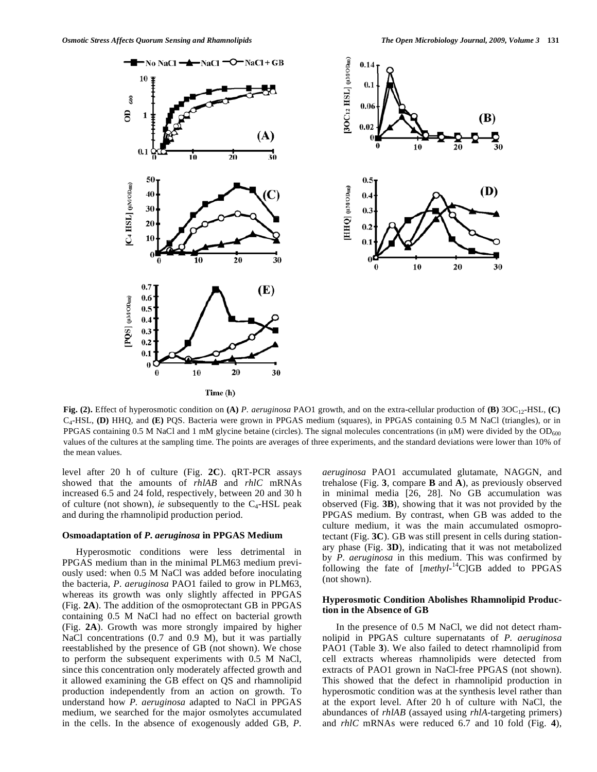(B)

(D)

30



**Fig. (2).** Effect of hyperosmotic condition on **(A)** *P. aeruginosa* PAO1 growth, and on the extra-cellular production of **(B)** 3OC12-HSL, **(C)** C4-HSL, **(D)** HHQ, and **(E)** PQS. Bacteria were grown in PPGAS medium (squares), in PPGAS containing 0.5 M NaCl (triangles), or in PPGAS containing 0.5 M NaCl and 1 mM glycine betaine (circles). The signal molecules concentrations (in  $\mu$ M) were divided by the OD<sub>600</sub> values of the cultures at the sampling time. The points are averages of three experiments, and the standard deviations were lower than 10% of the mean values.

level after 20 h of culture (Fig. **2C**). qRT-PCR assays showed that the amounts of *rhlAB* and *rhlC* mRNAs increased 6.5 and 24 fold, respectively, between 20 and 30 h of culture (not shown), *ie* subsequently to the C4-HSL peak and during the rhamnolipid production period.

#### **Osmoadaptation of** *P. aeruginosa* **in PPGAS Medium**

 Hyperosmotic conditions were less detrimental in PPGAS medium than in the minimal PLM63 medium previously used: when 0.5 M NaCl was added before inoculating the bacteria, *P. aeruginosa* PAO1 failed to grow in PLM63, whereas its growth was only slightly affected in PPGAS (Fig. **2A**). The addition of the osmoprotectant GB in PPGAS containing 0.5 M NaCl had no effect on bacterial growth (Fig. **2A**). Growth was more strongly impaired by higher NaCl concentrations (0.7 and 0.9 M), but it was partially reestablished by the presence of GB (not shown). We chose to perform the subsequent experiments with 0.5 M NaCl, since this concentration only moderately affected growth and it allowed examining the GB effect on QS and rhamnolipid production independently from an action on growth. To understand how *P. aeruginosa* adapted to NaCl in PPGAS medium, we searched for the major osmolytes accumulated in the cells. In the absence of exogenously added GB, *P.*  *aeruginosa* PAO1 accumulated glutamate, NAGGN, and trehalose (Fig. **3**, compare **B** and **A**), as previously observed in minimal media [26, 28]. No GB accumulation was observed (Fig. **3B**), showing that it was not provided by the PPGAS medium. By contrast, when GB was added to the culture medium, it was the main accumulated osmoprotectant (Fig. **3C**). GB was still present in cells during stationary phase (Fig. **3D**), indicating that it was not metabolized by *P*. *aeruginosa* in this medium. This was confirmed by following the fate of [*methyl*-14C]GB added to PPGAS (not shown).

10

20

# **Hyperosmotic Condition Abolishes Rhamnolipid Production in the Absence of GB**

 In the presence of 0.5 M NaCl, we did not detect rhamnolipid in PPGAS culture supernatants of *P. aeruginosa* PAO1 (Table **3**). We also failed to detect rhamnolipid from cell extracts whereas rhamnolipids were detected from extracts of PAO1 grown in NaCl-free PPGAS (not shown). This showed that the defect in rhamnolipid production in hyperosmotic condition was at the synthesis level rather than at the export level. After 20 h of culture with NaCl, the abundances of *rhlAB* (assayed using *rhlA*-targeting primers) and *rhlC* mRNAs were reduced 6.7 and 10 fold (Fig. **4**),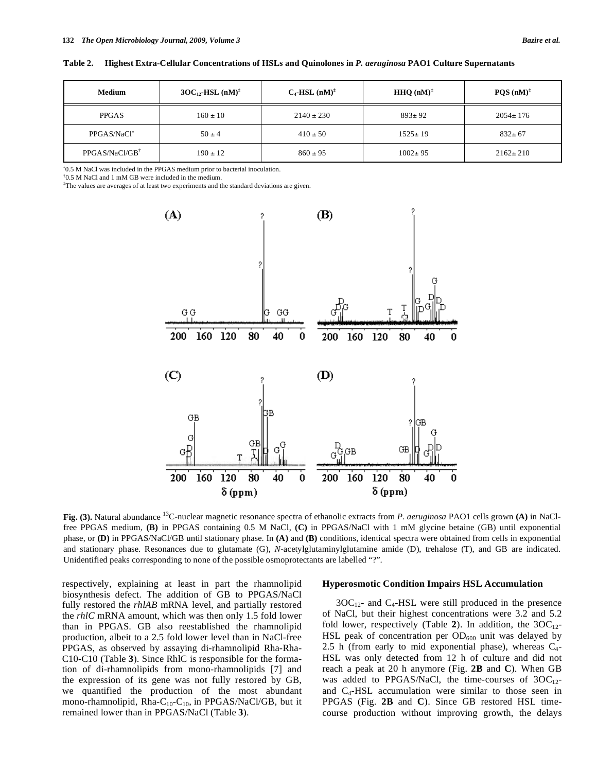| Medium                       | $3OC_{12}$ -HSL (nM) <sup><math>\ddagger</math></sup> | $C_4$ -HSL $(nM)^{\ddagger}$ | <b>HHQ</b> $(nM)^{\ddagger}$ | $POS(nM)^{\ddagger}$ |
|------------------------------|-------------------------------------------------------|------------------------------|------------------------------|----------------------|
| <b>PPGAS</b>                 | $160 \pm 10$                                          | $2140 \pm 230$               | $893 \pm 92$                 | $2054 \pm 176$       |
| PPGAS/NaCl*                  | $50 \pm 4$                                            | $410 \pm 50$                 | $1525 \pm 19$                | $832 \pm 67$         |
| $PPGAS/NaCl/GB$ <sup>†</sup> | $190 \pm 12$                                          | $860 \pm 95$                 | $1002 \pm 95$                | $2162 \pm 210$       |

**Table 2. Highest Extra-Cellular Concentrations of HSLs and Quinolones in** *P. aeruginosa* **PAO1 Culture Supernatants** 

0.5 M NaCl was included in the PPGAS medium prior to bacterial inoculation.

† 0.5 M NaCl and 1 mM GB were included in the medium.

‡ The values are averages of at least two experiments and the standard deviations are given.



**Fig. (3).** Natural abundance 13C-nuclear magnetic resonance spectra of ethanolic extracts from *P. aeruginosa* PAO1 cells grown **(A)** in NaClfree PPGAS medium, **(B)** in PPGAS containing 0.5 M NaCl, **(C)** in PPGAS/NaCl with 1 mM glycine betaine (GB) until exponential phase, or **(D)** in PPGAS/NaCl/GB until stationary phase. In **(A)** and **(B)** conditions, identical spectra were obtained from cells in exponential and stationary phase. Resonances due to glutamate (G), *N*-acetylglutaminylglutamine amide (D), trehalose (T), and GB are indicated. Unidentified peaks corresponding to none of the possible osmoprotectants are labelled "?".

respectively, explaining at least in part the rhamnolipid biosynthesis defect. The addition of GB to PPGAS/NaCl fully restored the *rhlAB* mRNA level, and partially restored the *rhlC* mRNA amount, which was then only 1.5 fold lower than in PPGAS. GB also reestablished the rhamnolipid production, albeit to a 2.5 fold lower level than in NaCl-free PPGAS, as observed by assaying di-rhamnolipid Rha-Rha-C10-C10 (Table **3**). Since RhlC is responsible for the formation of di-rhamnolipids from mono-rhamnolipids [7] and the expression of its gene was not fully restored by GB, we quantified the production of the most abundant mono-rhamnolipid, Rha-C<sub>10</sub>-C<sub>10</sub>, in PPGAS/NaCl/GB, but it remained lower than in PPGAS/NaCl (Table **3**).

#### **Hyperosmotic Condition Impairs HSL Accumulation**

 $3OC_{12}$ - and  $C_4$ -HSL were still produced in the presence of NaCl, but their highest concentrations were 3.2 and 5.2 fold lower, respectively (Table 2). In addition, the  $3OC_{12}$ -HSL peak of concentration per  $OD_{600}$  unit was delayed by 2.5 h (from early to mid exponential phase), whereas  $C_4$ -HSL was only detected from 12 h of culture and did not reach a peak at 20 h anymore (Fig. **2B** and **C**). When GB was added to PPGAS/NaCl, the time-courses of  $3OC_{12}$ and  $C_4$ -HSL accumulation were similar to those seen in PPGAS (Fig. **2B** and **C**). Since GB restored HSL timecourse production without improving growth, the delays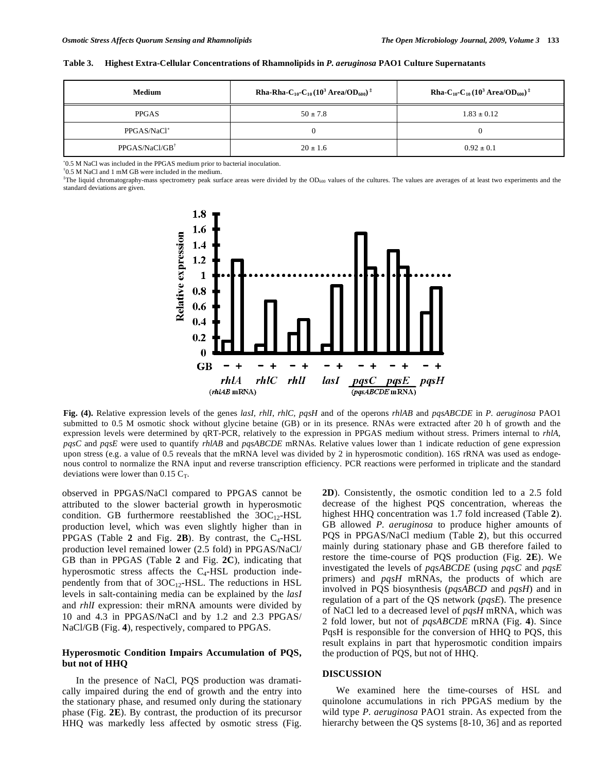| Table 3. Highest Extra-Cellular Concentrations of Rhamnolipids in P. aeruginosa PAO1 Culture Supernatants |  |
|-----------------------------------------------------------------------------------------------------------|--|
|                                                                                                           |  |

| <b>Medium</b>                | <b>Rha-Rha-C<sub>10</sub>-C<sub>10</sub></b> (10 <sup>3</sup> Area/OD <sub>600</sub> ) <sup>‡</sup> | <b>Rha-C</b> <sub>10</sub> -C <sub>10</sub> (10 <sup>3</sup> Area/OD <sub>600</sub> ) <sup>‡</sup> |
|------------------------------|-----------------------------------------------------------------------------------------------------|----------------------------------------------------------------------------------------------------|
| <b>PPGAS</b>                 | $50 \pm 7.8$                                                                                        | $1.83 \pm 0.12$                                                                                    |
| PPGAS/NaCl*                  |                                                                                                     |                                                                                                    |
| $PPGAS/NaCl/GB$ <sup>†</sup> | $20 \pm 1.6$                                                                                        | $0.92 \pm 0.1$                                                                                     |

0.5 M NaCl was included in the PPGAS medium prior to bacterial inoculation.

† 0.5 M NaCl and 1 mM GB were included in the medium.

<sup>‡</sup>The liquid chromatography-mass spectrometry peak surface areas were divided by the OD<sub>600</sub> values of the cultures. The values are averages of at least two experiments and the standard deviations are given.



**Fig. (4).** Relative expression levels of the genes *lasI, rhlI*, *rhlC, pqsH* and of the operons *rhlAB* and *pqsABCDE* in *P. aeruginosa* PAO1 submitted to 0.5 M osmotic shock without glycine betaine (GB) or in its presence. RNAs were extracted after 20 h of growth and the expression levels were determined by qRT-PCR, relatively to the expression in PPGAS medium without stress. Primers internal to *rhlA*, *pqsC* and *pqsE* were used to quantify *rhlAB* and *pqsABCDE* mRNAs. Relative values lower than 1 indicate reduction of gene expression upon stress (e.g. a value of 0.5 reveals that the mRNA level was divided by 2 in hyperosmotic condition). 16S rRNA was used as endogenous control to normalize the RNA input and reverse transcription efficiency. PCR reactions were performed in triplicate and the standard deviations were lower than 0.15  $C_T$ .

observed in PPGAS/NaCl compared to PPGAS cannot be attributed to the slower bacterial growth in hyperosmotic condition. GB furthermore reestablished the  $3OC_{12}$ -HSL production level, which was even slightly higher than in PPGAS (Table  $2$  and Fig.  $2B$ ). By contrast, the  $C_4$ -HSL production level remained lower (2.5 fold) in PPGAS/NaCl/ GB than in PPGAS (Table **2** and Fig. **2C**), indicating that hyperosmotic stress affects the  $C_4$ -HSL production independently from that of  $3OC_{12}$ -HSL. The reductions in HSL levels in salt-containing media can be explained by the *lasI* and *rhlI* expression: their mRNA amounts were divided by 10 and 4.3 in PPGAS/NaCl and by 1.2 and 2.3 PPGAS/ NaCl/GB (Fig. **4**), respectively, compared to PPGAS.

# **Hyperosmotic Condition Impairs Accumulation of PQS, but not of HHQ**

 In the presence of NaCl, PQS production was dramatically impaired during the end of growth and the entry into the stationary phase, and resumed only during the stationary phase (Fig. **2E**). By contrast, the production of its precursor HHQ was markedly less affected by osmotic stress (Fig.

**2D**). Consistently, the osmotic condition led to a 2.5 fold decrease of the highest PQS concentration, whereas the highest HHQ concentration was 1.7 fold increased (Table **2**). GB allowed *P. aeruginosa* to produce higher amounts of PQS in PPGAS/NaCl medium (Table **2**), but this occurred mainly during stationary phase and GB therefore failed to restore the time-course of PQS production (Fig. **2E**). We investigated the levels of *pqsABCDE* (using *pqsC* and *pqsE* primers) and *pqsH* mRNAs, the products of which are involved in PQS biosynthesis (*pqsABCD* and *pqsH*) and in regulation of a part of the QS network (*pqsE*). The presence of NaCl led to a decreased level of *pqsH* mRNA, which was 2 fold lower, but not of *pqsABCDE* mRNA (Fig. **4**). Since PqsH is responsible for the conversion of HHQ to PQS, this result explains in part that hyperosmotic condition impairs the production of PQS, but not of HHQ.

#### **DISCUSSION**

 We examined here the time-courses of HSL and quinolone accumulations in rich PPGAS medium by the wild type *P. aeruginosa* PAO1 strain. As expected from the hierarchy between the QS systems [8-10, 36] and as reported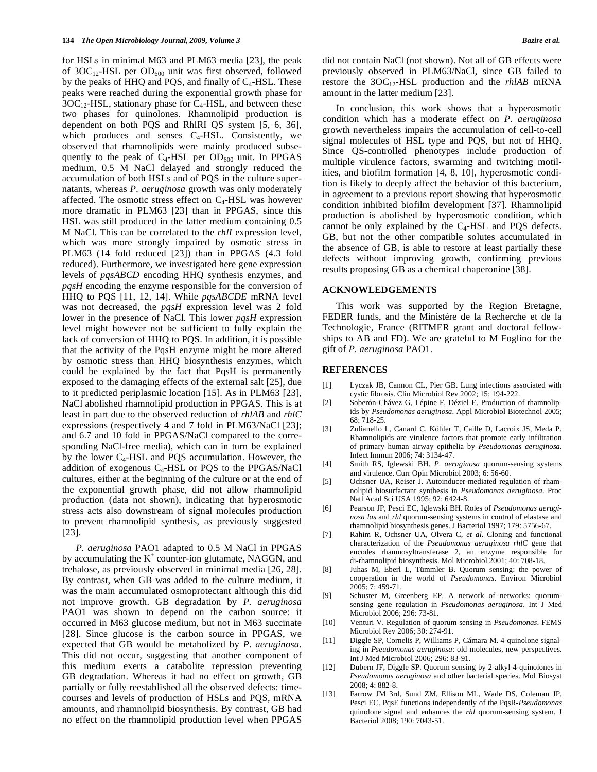for HSLs in minimal M63 and PLM63 media [23], the peak of  $3OC_{12}$ -HSL per  $OD_{600}$  unit was first observed, followed by the peaks of  $HHQ$  and PQS, and finally of  $C_4$ -HSL. These peaks were reached during the exponential growth phase for  $3OC_{12}$ -HSL, stationary phase for  $C_4$ -HSL, and between these two phases for quinolones. Rhamnolipid production is dependent on both PQS and RhlRI QS system [5, 6, 36], which produces and senses  $C_4$ -HSL. Consistently, we observed that rhamnolipids were mainly produced subsequently to the peak of  $C_4$ -HSL per OD<sub>600</sub> unit. In PPGAS medium, 0.5 M NaCl delayed and strongly reduced the accumulation of both HSLs and of PQS in the culture supernatants, whereas *P. aeruginosa* growth was only moderately affected. The osmotic stress effect on C4-HSL was however more dramatic in PLM63 [23] than in PPGAS, since this HSL was still produced in the latter medium containing 0.5 M NaCl. This can be correlated to the *rhlI* expression level, which was more strongly impaired by osmotic stress in PLM63 (14 fold reduced [23]) than in PPGAS (4.3 fold reduced). Furthermore, we investigated here gene expression levels of *pqsABCD* encoding HHQ synthesis enzymes, and *pqsH* encoding the enzyme responsible for the conversion of HHQ to PQS [11, 12, 14]. While *pqsABCDE* mRNA level was not decreased, the *pqsH* expression level was 2 fold lower in the presence of NaCl. This lower *pqsH* expression level might however not be sufficient to fully explain the lack of conversion of HHQ to PQS. In addition, it is possible that the activity of the PqsH enzyme might be more altered by osmotic stress than HHQ biosynthesis enzymes, which could be explained by the fact that PqsH is permanently exposed to the damaging effects of the external salt [25], due to it predicted periplasmic location [15]. As in PLM63 [23], NaCl abolished rhamnolipid production in PPGAS. This is at least in part due to the observed reduction of *rhlAB* and *rhlC* expressions (respectively 4 and 7 fold in PLM63/NaCl [23]; and 6.7 and 10 fold in PPGAS/NaCl compared to the corresponding NaCl-free media), which can in turn be explained by the lower  $C_4$ -HSL and PQS accumulation. However, the addition of exogenous  $C_4$ -HSL or PQS to the PPGAS/NaCl cultures, either at the beginning of the culture or at the end of the exponential growth phase, did not allow rhamnolipid production (data not shown), indicating that hyperosmotic stress acts also downstream of signal molecules production to prevent rhamnolipid synthesis, as previously suggested [23].

*P. aeruginosa* PAO1 adapted to 0.5 M NaCl in PPGAS by accumulating the  $K^+$  counter-ion glutamate, NAGGN, and trehalose, as previously observed in minimal media [26, 28]. By contrast, when GB was added to the culture medium, it was the main accumulated osmoprotectant although this did not improve growth. GB degradation by *P. aeruginosa* PAO1 was shown to depend on the carbon source: it occurred in M63 glucose medium, but not in M63 succinate [28]. Since glucose is the carbon source in PPGAS, we expected that GB would be metabolized by *P*. *aeruginosa*. This did not occur, suggesting that another component of this medium exerts a catabolite repression preventing GB degradation. Whereas it had no effect on growth, GB partially or fully reestablished all the observed defects: timecourses and levels of production of HSLs and PQS, mRNA amounts, and rhamnolipid biosynthesis. By contrast, GB had no effect on the rhamnolipid production level when PPGAS

did not contain NaCl (not shown). Not all of GB effects were previously observed in PLM63/NaCl, since GB failed to restore the  $3OC_{12}$ -HSL production and the *rhlAB* mRNA amount in the latter medium [23].

 In conclusion, this work shows that a hyperosmotic condition which has a moderate effect on *P. aeruginosa* growth nevertheless impairs the accumulation of cell-to-cell signal molecules of HSL type and PQS, but not of HHQ. Since QS-controlled phenotypes include production of multiple virulence factors, swarming and twitching motilities, and biofilm formation [4, 8, 10], hyperosmotic condition is likely to deeply affect the behavior of this bacterium, in agreement to a previous report showing that hyperosmotic condition inhibited biofilm development [37]. Rhamnolipid production is abolished by hyperosmotic condition, which cannot be only explained by the  $C_4$ -HSL and PQS defects. GB, but not the other compatible solutes accumulated in the absence of GB, is able to restore at least partially these defects without improving growth, confirming previous results proposing GB as a chemical chaperonine [38].

# **ACKNOWLEDGEMENTS**

 This work was supported by the Region Bretagne, FEDER funds, and the Ministère de la Recherche et de la Technologie, France (RITMER grant and doctoral fellowships to AB and FD). We are grateful to M Foglino for the gift of *P. aeruginosa* PAO1.

### **REFERENCES**

- [1] Lyczak JB, Cannon CL, Pier GB. Lung infections associated with cystic fibrosis. Clin Microbiol Rev 2002; 15: 194-222.
- [2] Soberón-Chávez G, Lépine F, Déziel E. Production of rhamnolipids by *Pseudomonas aeruginosa*. Appl Microbiol Biotechnol 2005; 68: 718-25.
- [3] Zulianello L, Canard C, Köhler T, Caille D, Lacroix JS, Meda P. Rhamnolipids are virulence factors that promote early infiltration of primary human airway epithelia by *Pseudomonas aeruginosa*. Infect Immun 2006; 74: 3134-47.
- [4] Smith RS, Iglewski BH. *P*. *aeruginosa* quorum-sensing systems and virulence. Curr Opin Microbiol 2003; 6: 56-60.
- [5] Ochsner UA, Reiser J. Autoinducer-mediated regulation of rhamnolipid biosurfactant synthesis in *Pseudomonas aeruginosa*. Proc Natl Acad Sci USA 1995; 92: 6424-8.
- [6] Pearson JP, Pesci EC, Iglewski BH. Roles of *Pseudomonas aeruginosa las* and *rhl* quorum-sensing systems in control of elastase and rhamnolipid biosynthesis genes. J Bacteriol 1997; 179: 5756-67.
- [7] Rahim R, Ochsner UA, Olvera C, *et al*. Cloning and functional characterization of the *Pseudomonas aeruginosa rhlC* gene that encodes rhamnosyltransferase 2, an enzyme responsible for di-rhamnolipid biosynthesis. Mol Microbiol 2001; 40: 708-18.
- [8] Juhas M, Eberl L, Tümmler B. Quorum sensing: the power of cooperation in the world of *Pseudomonas*. Environ Microbiol 2005; 7: 459-71.
- [9] Schuster M, Greenberg EP. A network of networks: quorumsensing gene regulation in *Pseudomonas aeruginosa*. Int J Med Microbiol 2006; 296: 73-81.
- [10] Venturi V. Regulation of quorum sensing in *Pseudomonas*. FEMS Microbiol Rev 2006; 30: 274-91.
- [11] Diggle SP, Cornelis P, Williams P, Cámara M. 4-quinolone signaling in *Pseudomonas aeruginosa*: old molecules, new perspectives. Int J Med Microbiol 2006; 296: 83-91.
- [12] Dubern JF, Diggle SP. Quorum sensing by 2-alkyl-4-quinolones in *Pseudomonas aeruginosa* and other bacterial species. Mol Biosyst 2008; 4: 882-8.
- [13] Farrow JM 3rd, Sund ZM, Ellison ML, Wade DS, Coleman JP, Pesci EC. PqsE functions independently of the PqsR-*Pseudomonas* quinolone signal and enhances the *rhl* quorum-sensing system. J Bacteriol 2008; 190: 7043-51.